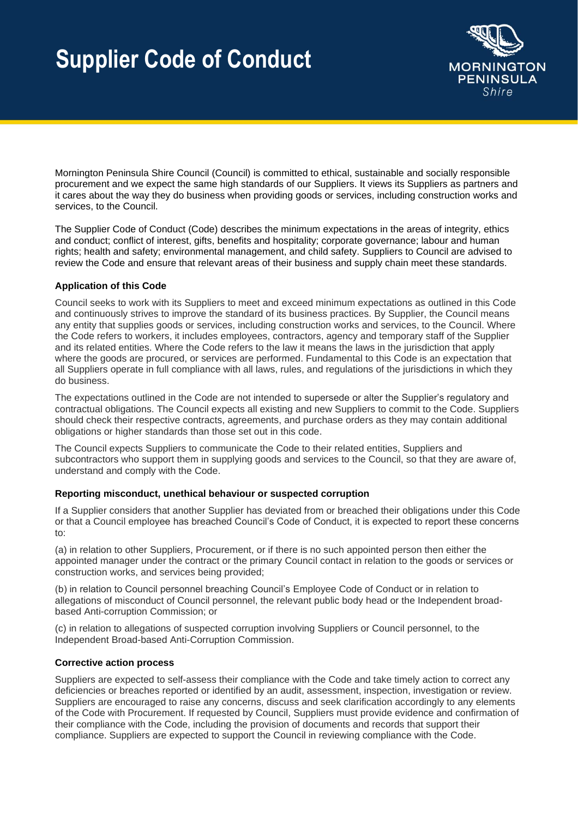

Mornington Peninsula Shire Council (Council) is committed to ethical, sustainable and socially responsible procurement and we expect the same high standards of our Suppliers. It views its Suppliers as partners and it cares about the way they do business when providing goods or services, including construction works and services, to the Council.

The Supplier Code of Conduct (Code) describes the minimum expectations in the areas of integrity, ethics and conduct; conflict of interest, gifts, benefits and hospitality; corporate governance; labour and human rights; health and safety; environmental management, and child safety. Suppliers to Council are advised to review the Code and ensure that relevant areas of their business and supply chain meet these standards.

## **Application of this Code**

Council seeks to work with its Suppliers to meet and exceed minimum expectations as outlined in this Code and continuously strives to improve the standard of its business practices. By Supplier, the Council means any entity that supplies goods or services, including construction works and services, to the Council. Where the Code refers to workers, it includes employees, contractors, agency and temporary staff of the Supplier and its related entities. Where the Code refers to the law it means the laws in the jurisdiction that apply where the goods are procured, or services are performed. Fundamental to this Code is an expectation that all Suppliers operate in full compliance with all laws, rules, and regulations of the jurisdictions in which they do business.

The expectations outlined in the Code are not intended to supersede or alter the Supplier's regulatory and contractual obligations. The Council expects all existing and new Suppliers to commit to the Code. Suppliers should check their respective contracts, agreements, and purchase orders as they may contain additional obligations or higher standards than those set out in this code.

The Council expects Suppliers to communicate the Code to their related entities, Suppliers and subcontractors who support them in supplying goods and services to the Council, so that they are aware of, understand and comply with the Code.

#### **Reporting misconduct, unethical behaviour or suspected corruption**

If a Supplier considers that another Supplier has deviated from or breached their obligations under this Code or that a Council employee has breached Council's Code of Conduct, it is expected to report these concerns to:

(a) in relation to other Suppliers, Procurement, or if there is no such appointed person then either the appointed manager under the contract or the primary Council contact in relation to the goods or services or construction works, and services being provided;

(b) in relation to Council personnel breaching Council's Employee Code of Conduct or in relation to allegations of misconduct of Council personnel, the relevant public body head or the Independent broadbased Anti-corruption Commission; or

(c) in relation to allegations of suspected corruption involving Suppliers or Council personnel, to the Independent Broad-based Anti-Corruption Commission.

#### **Corrective action process**

Suppliers are expected to self-assess their compliance with the Code and take timely action to correct any deficiencies or breaches reported or identified by an audit, assessment, inspection, investigation or review. Suppliers are encouraged to raise any concerns, discuss and seek clarification accordingly to any elements of the Code with Procurement. If requested by Council, Suppliers must provide evidence and confirmation of their compliance with the Code, including the provision of documents and records that support their compliance. Suppliers are expected to support the Council in reviewing compliance with the Code.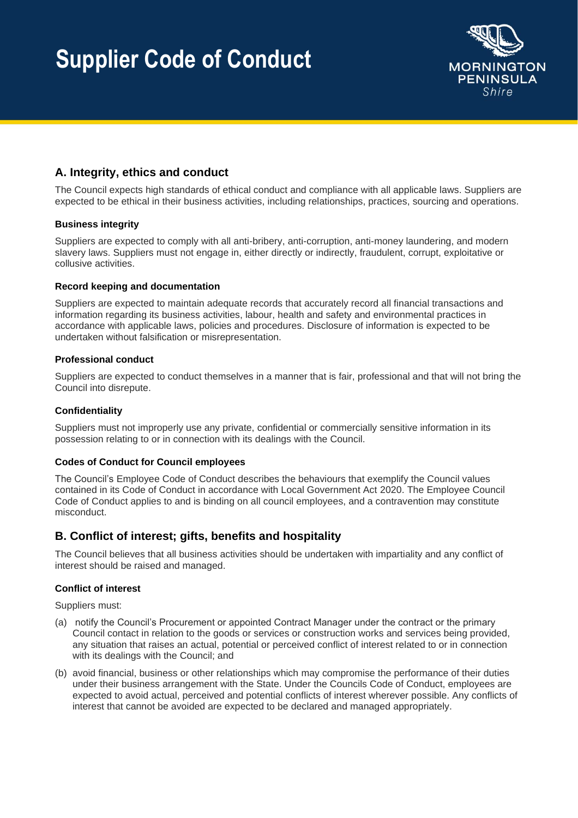

# **A. Integrity, ethics and conduct**

The Council expects high standards of ethical conduct and compliance with all applicable laws. Suppliers are expected to be ethical in their business activities, including relationships, practices, sourcing and operations.

## **Business integrity**

Suppliers are expected to comply with all anti-bribery, anti-corruption, anti-money laundering, and modern slavery laws. Suppliers must not engage in, either directly or indirectly, fraudulent, corrupt, exploitative or collusive activities.

#### **Record keeping and documentation**

Suppliers are expected to maintain adequate records that accurately record all financial transactions and information regarding its business activities, labour, health and safety and environmental practices in accordance with applicable laws, policies and procedures. Disclosure of information is expected to be undertaken without falsification or misrepresentation.

#### **Professional conduct**

Suppliers are expected to conduct themselves in a manner that is fair, professional and that will not bring the Council into disrepute.

### **Confidentiality**

Suppliers must not improperly use any private, confidential or commercially sensitive information in its possession relating to or in connection with its dealings with the Council.

## **Codes of Conduct for Council employees**

The Council's Employee Code of Conduct describes the behaviours that exemplify the Council values contained in its Code of Conduct in accordance with Local Government Act 2020. The Employee Council Code of Conduct applies to and is binding on all council employees, and a contravention may constitute misconduct.

# **B. Conflict of interest; gifts, benefits and hospitality**

The Council believes that all business activities should be undertaken with impartiality and any conflict of interest should be raised and managed.

## **Conflict of interest**

Suppliers must:

- (a) notify the Council's Procurement or appointed Contract Manager under the contract or the primary Council contact in relation to the goods or services or construction works and services being provided, any situation that raises an actual, potential or perceived conflict of interest related to or in connection with its dealings with the Council; and
- (b) avoid financial, business or other relationships which may compromise the performance of their duties under their business arrangement with the State. Under the Councils Code of Conduct, employees are expected to avoid actual, perceived and potential conflicts of interest wherever possible. Any conflicts of interest that cannot be avoided are expected to be declared and managed appropriately.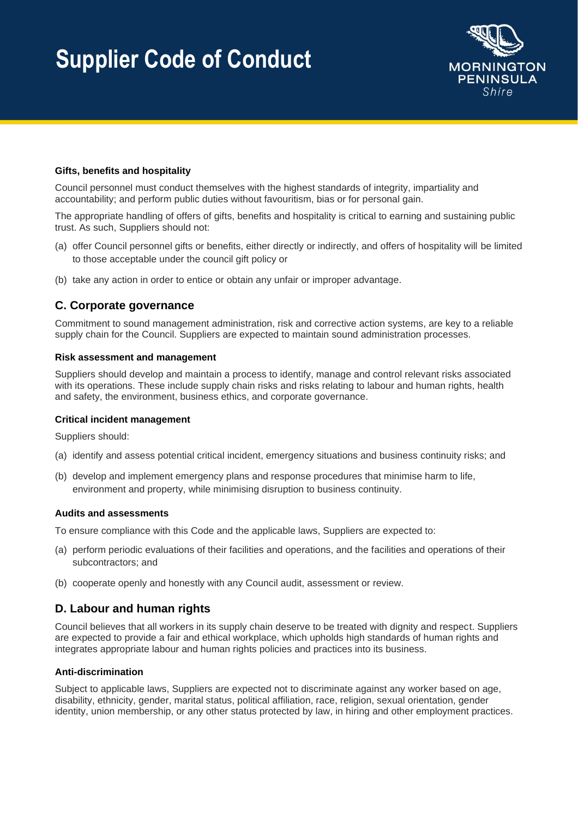

### **Gifts, benefits and hospitality**

Council personnel must conduct themselves with the highest standards of integrity, impartiality and accountability; and perform public duties without favouritism, bias or for personal gain.

The appropriate handling of offers of gifts, benefits and hospitality is critical to earning and sustaining public trust. As such, Suppliers should not:

- (a) offer Council personnel gifts or benefits, either directly or indirectly, and offers of hospitality will be limited to those acceptable under the council gift policy or
- (b) take any action in order to entice or obtain any unfair or improper advantage.

# **C. Corporate governance**

Commitment to sound management administration, risk and corrective action systems, are key to a reliable supply chain for the Council. Suppliers are expected to maintain sound administration processes.

#### **Risk assessment and management**

Suppliers should develop and maintain a process to identify, manage and control relevant risks associated with its operations. These include supply chain risks and risks relating to labour and human rights, health and safety, the environment, business ethics, and corporate governance.

#### **Critical incident management**

Suppliers should:

- (a) identify and assess potential critical incident, emergency situations and business continuity risks; and
- (b) develop and implement emergency plans and response procedures that minimise harm to life, environment and property, while minimising disruption to business continuity.

#### **Audits and assessments**

To ensure compliance with this Code and the applicable laws, Suppliers are expected to:

- (a) perform periodic evaluations of their facilities and operations, and the facilities and operations of their subcontractors; and
- (b) cooperate openly and honestly with any Council audit, assessment or review.

# **D. Labour and human rights**

Council believes that all workers in its supply chain deserve to be treated with dignity and respect. Suppliers are expected to provide a fair and ethical workplace, which upholds high standards of human rights and integrates appropriate labour and human rights policies and practices into its business.

#### **Anti-discrimination**

Subject to applicable laws, Suppliers are expected not to discriminate against any worker based on age, disability, ethnicity, gender, marital status, political affiliation, race, religion, sexual orientation, gender identity, union membership, or any other status protected by law, in hiring and other employment practices.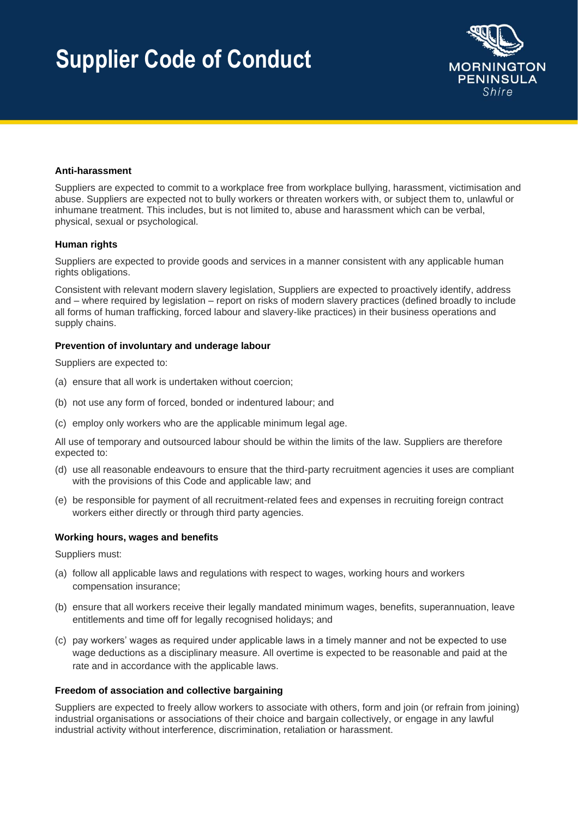

#### **Anti-harassment**

Suppliers are expected to commit to a workplace free from workplace bullying, harassment, victimisation and abuse. Suppliers are expected not to bully workers or threaten workers with, or subject them to, unlawful or inhumane treatment. This includes, but is not limited to, abuse and harassment which can be verbal, physical, sexual or psychological.

#### **Human rights**

Suppliers are expected to provide goods and services in a manner consistent with any applicable human rights obligations.

Consistent with relevant modern slavery legislation, Suppliers are expected to proactively identify, address and – where required by legislation – report on risks of modern slavery practices (defined broadly to include all forms of human trafficking, forced labour and slavery-like practices) in their business operations and supply chains.

#### **Prevention of involuntary and underage labour**

Suppliers are expected to:

- (a) ensure that all work is undertaken without coercion;
- (b) not use any form of forced, bonded or indentured labour; and
- (c) employ only workers who are the applicable minimum legal age.

All use of temporary and outsourced labour should be within the limits of the law. Suppliers are therefore expected to:

- (d) use all reasonable endeavours to ensure that the third-party recruitment agencies it uses are compliant with the provisions of this Code and applicable law; and
- (e) be responsible for payment of all recruitment-related fees and expenses in recruiting foreign contract workers either directly or through third party agencies.

#### **Working hours, wages and benefits**

Suppliers must:

- (a) follow all applicable laws and regulations with respect to wages, working hours and workers compensation insurance;
- (b) ensure that all workers receive their legally mandated minimum wages, benefits, superannuation, leave entitlements and time off for legally recognised holidays; and
- (c) pay workers' wages as required under applicable laws in a timely manner and not be expected to use wage deductions as a disciplinary measure. All overtime is expected to be reasonable and paid at the rate and in accordance with the applicable laws.

#### **Freedom of association and collective bargaining**

Suppliers are expected to freely allow workers to associate with others, form and join (or refrain from joining) industrial organisations or associations of their choice and bargain collectively, or engage in any lawful industrial activity without interference, discrimination, retaliation or harassment.